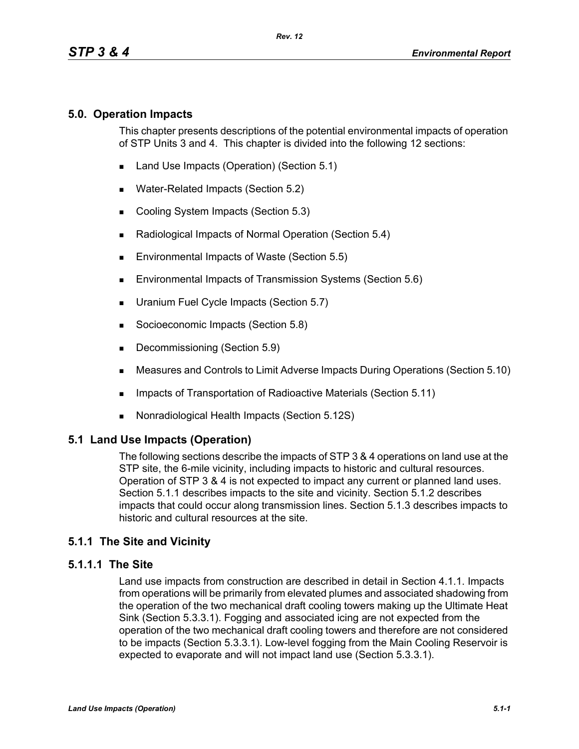## **5.0. Operation Impacts**

This chapter presents descriptions of the potential environmental impacts of operation of STP Units 3 and 4. This chapter is divided into the following 12 sections:

- Land Use Impacts (Operation) (Section 5.1)
- **Water-Related Impacts (Section 5.2)**
- Cooling System Impacts (Section 5.3)
- Radiological Impacts of Normal Operation (Section 5.4)
- **Environmental Impacts of Waste (Section 5.5)**
- **Environmental Impacts of Transmission Systems (Section 5.6)**
- **Uranium Fuel Cycle Impacts (Section 5.7)**
- Socioeconomic Impacts (Section 5.8)
- Decommissioning (Section 5.9)
- Measures and Controls to Limit Adverse Impacts During Operations (Section 5.10)
- **IMPACTER 15 Impacts of Transportation of Radioactive Materials (Section 5.11)**
- Nonradiological Health Impacts (Section 5.12S)

# **5.1 Land Use Impacts (Operation)**

The following sections describe the impacts of STP 3 & 4 operations on land use at the STP site, the 6-mile vicinity, including impacts to historic and cultural resources. Operation of STP 3 & 4 is not expected to impact any current or planned land uses. Section 5.1.1 describes impacts to the site and vicinity. Section 5.1.2 describes impacts that could occur along transmission lines. Section 5.1.3 describes impacts to historic and cultural resources at the site.

# **5.1.1 The Site and Vicinity**

## **5.1.1.1 The Site**

Land use impacts from construction are described in detail in Section 4.1.1. Impacts from operations will be primarily from elevated plumes and associated shadowing from the operation of the two mechanical draft cooling towers making up the Ultimate Heat Sink (Section 5.3.3.1). Fogging and associated icing are not expected from the operation of the two mechanical draft cooling towers and therefore are not considered to be impacts (Section 5.3.3.1). Low-level fogging from the Main Cooling Reservoir is expected to evaporate and will not impact land use (Section 5.3.3.1).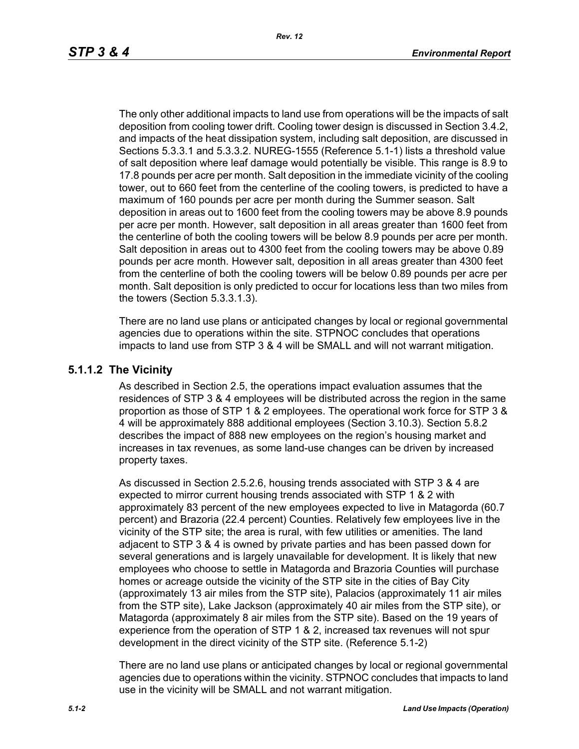The only other additional impacts to land use from operations will be the impacts of salt deposition from cooling tower drift. Cooling tower design is discussed in Section 3.4.2, and impacts of the heat dissipation system, including salt deposition, are discussed in Sections 5.3.3.1 and 5.3.3.2. NUREG-1555 (Reference 5.1-1) lists a threshold value of salt deposition where leaf damage would potentially be visible. This range is 8.9 to 17.8 pounds per acre per month. Salt deposition in the immediate vicinity of the cooling tower, out to 660 feet from the centerline of the cooling towers, is predicted to have a maximum of 160 pounds per acre per month during the Summer season. Salt deposition in areas out to 1600 feet from the cooling towers may be above 8.9 pounds per acre per month. However, salt deposition in all areas greater than 1600 feet from the centerline of both the cooling towers will be below 8.9 pounds per acre per month. Salt deposition in areas out to 4300 feet from the cooling towers may be above 0.89 pounds per acre month. However salt, deposition in all areas greater than 4300 feet from the centerline of both the cooling towers will be below 0.89 pounds per acre per month. Salt deposition is only predicted to occur for locations less than two miles from the towers (Section 5.3.3.1.3).

There are no land use plans or anticipated changes by local or regional governmental agencies due to operations within the site. STPNOC concludes that operations impacts to land use from STP 3 & 4 will be SMALL and will not warrant mitigation.

#### **5.1.1.2 The Vicinity**

As described in Section 2.5, the operations impact evaluation assumes that the residences of STP 3 & 4 employees will be distributed across the region in the same proportion as those of STP 1 & 2 employees. The operational work force for STP 3 & 4 will be approximately 888 additional employees (Section 3.10.3). Section 5.8.2 describes the impact of 888 new employees on the region's housing market and increases in tax revenues, as some land-use changes can be driven by increased property taxes.

As discussed in Section 2.5.2.6, housing trends associated with STP 3 & 4 are expected to mirror current housing trends associated with STP 1 & 2 with approximately 83 percent of the new employees expected to live in Matagorda (60.7 percent) and Brazoria (22.4 percent) Counties. Relatively few employees live in the vicinity of the STP site; the area is rural, with few utilities or amenities. The land adjacent to STP 3 & 4 is owned by private parties and has been passed down for several generations and is largely unavailable for development. It is likely that new employees who choose to settle in Matagorda and Brazoria Counties will purchase homes or acreage outside the vicinity of the STP site in the cities of Bay City (approximately 13 air miles from the STP site), Palacios (approximately 11 air miles from the STP site), Lake Jackson (approximately 40 air miles from the STP site), or Matagorda (approximately 8 air miles from the STP site). Based on the 19 years of experience from the operation of STP 1 & 2, increased tax revenues will not spur development in the direct vicinity of the STP site. (Reference 5.1-2)

There are no land use plans or anticipated changes by local or regional governmental agencies due to operations within the vicinity. STPNOC concludes that impacts to land use in the vicinity will be SMALL and not warrant mitigation.